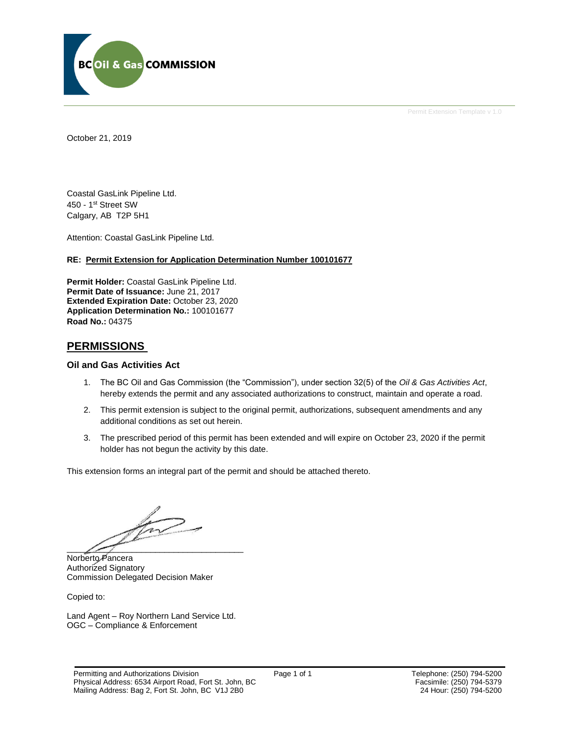

Permit Extension Template v 1.0

October 21, 2019

Coastal GasLink Pipeline Ltd. 450 - 1st Street SW Calgary, AB T2P 5H1

Attention: Coastal GasLink Pipeline Ltd.

#### **RE: Permit Extension for Application Determination Number 100101677**

**Permit Holder:** Coastal GasLink Pipeline Ltd. **Permit Date of Issuance:** June 21, 2017 **Extended Expiration Date:** October 23, 2020 **Application Determination No.:** 100101677 **Road No.:** 04375

### **PERMISSIONS**

#### **Oil and Gas Activities Act**

- 1. The BC Oil and Gas Commission (the "Commission"), under section 32(5) of the *Oil & Gas Activities Act*, hereby extends the permit and any associated authorizations to construct, maintain and operate a road.
- 2. This permit extension is subject to the original permit, authorizations, subsequent amendments and any additional conditions as set out herein.
- 3. The prescribed period of this permit has been extended and will expire on October 23, 2020 if the permit holder has not begun the activity by this date.

This extension forms an integral part of the permit and should be attached thereto.

 $\overline{\phantom{a}}$ 

Norberto Pancera Authorized Signatory Commission Delegated Decision Maker

Copied to:

Land Agent – Roy Northern Land Service Ltd. OGC – Compliance & Enforcement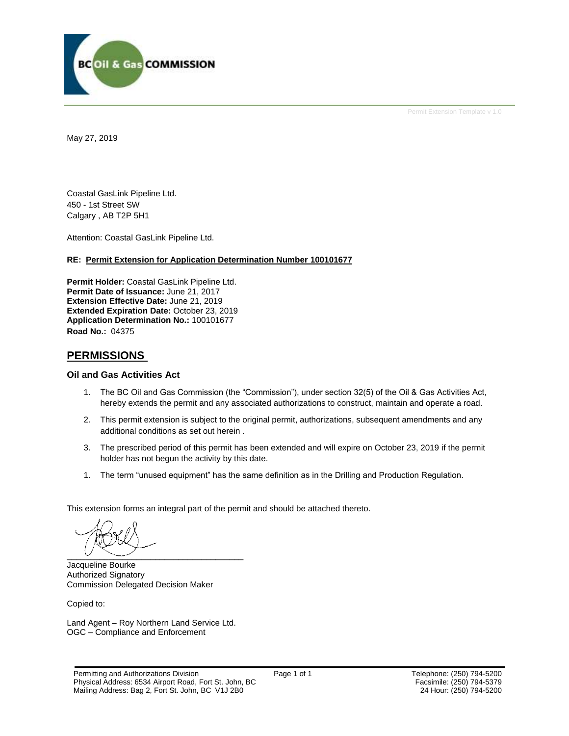

Permit Extension Template v 1.0

May 27, 2019

Coastal GasLink Pipeline Ltd. 450 - 1st Street SW Calgary , AB T2P 5H1

Attention: Coastal GasLink Pipeline Ltd.

#### **RE: Permit Extension for Application Determination Number 100101677**

**Permit Holder:** Coastal GasLink Pipeline Ltd. **Permit Date of Issuance:** June 21, 2017 **Extension Effective Date:** June 21, 2019 **Extended Expiration Date:** October 23, 2019 **Application Determination No.:** 100101677 **Road No.:** 04375

# **PERMISSIONS**

### **Oil and Gas Activities Act**

- 1. The BC Oil and Gas Commission (the "Commission"), under section 32(5) of the Oil & Gas Activities Act, hereby extends the permit and any associated authorizations to construct, maintain and operate a road.
- 2. This permit extension is subject to the original permit, authorizations, subsequent amendments and any additional conditions as set out herein .
- 3. The prescribed period of this permit has been extended and will expire on October 23, 2019 if the permit holder has not begun the activity by this date.
- 1. The term "unused equipment" has the same definition as in the Drilling and Production Regulation.

This extension forms an integral part of the permit and should be attached thereto.

 $\overline{\phantom{a}}$   $\overline{\phantom{a}}$   $\overline{\phantom{a}}$   $\overline{\phantom{a}}$   $\overline{\phantom{a}}$   $\overline{\phantom{a}}$   $\overline{\phantom{a}}$   $\overline{\phantom{a}}$   $\overline{\phantom{a}}$   $\overline{\phantom{a}}$   $\overline{\phantom{a}}$   $\overline{\phantom{a}}$   $\overline{\phantom{a}}$   $\overline{\phantom{a}}$   $\overline{\phantom{a}}$   $\overline{\phantom{a}}$   $\overline{\phantom{a}}$   $\overline{\phantom{a}}$   $\overline{\$ 

Jacqueline Bourke Authorized Signatory Commission Delegated Decision Maker

Copied to:

Land Agent – Roy Northern Land Service Ltd. OGC – Compliance and Enforcement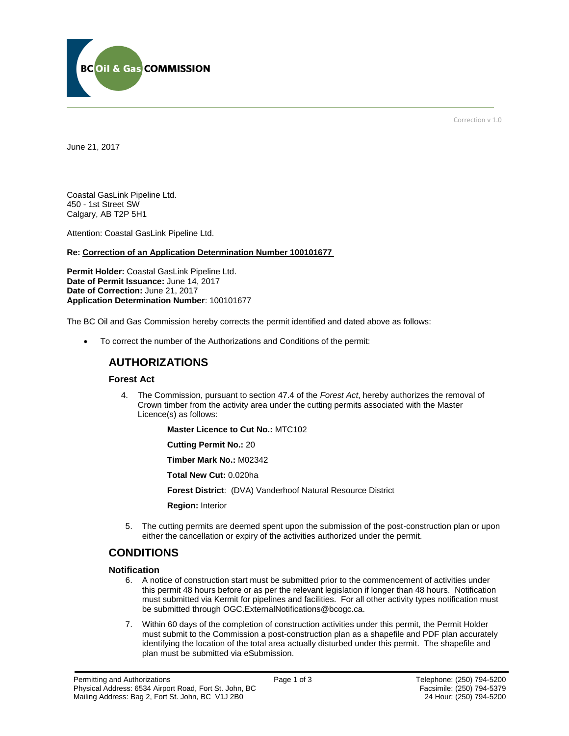

Correction v 1.0

June 21, 2017

Coastal GasLink Pipeline Ltd. 450 - 1st Street SW Calgary, AB T2P 5H1

Attention: Coastal GasLink Pipeline Ltd.

#### **Re: Correction of an Application Determination Number 100101677**

**Permit Holder:** Coastal GasLink Pipeline Ltd. **Date of Permit Issuance:** June 14, 2017 **Date of Correction:** June 21, 2017 **Application Determination Number**: 100101677

The BC Oil and Gas Commission hereby corrects the permit identified and dated above as follows:

To correct the number of the Authorizations and Conditions of the permit:

# **AUTHORIZATIONS**

### **Forest Act**

4. The Commission, pursuant to section 47.4 of the *Forest Act*, hereby authorizes the removal of Crown timber from the activity area under the cutting permits associated with the Master Licence(s) as follows:

**Master Licence to Cut No.:** MTC102

**Cutting Permit No.:** 20

**Timber Mark No.:** M02342

**Total New Cut:** 0.020ha

**[Forest District](https://ams-crd.bcogc.ca/crd/)**: (DVA) Vanderhoof Natural Resource District

**Region:** Interior

5. The cutting permits are deemed spent upon the submission of the post-construction plan or upon either the cancellation or expiry of the activities authorized under the permit.

# **CONDITIONS**

### **Notification**

- 6. A notice of construction start must be submitted prior to the commencement of activities under this permit 48 hours before or as per the relevant legislation if longer than 48 hours. Notification must submitted via Kermit for pipelines and facilities. For all other activity types notification must be submitted through [OGC.ExternalNotifications@bcogc.ca.](mailto:OGC.ExternalNotifications@bcogc.ca)
- 7. Within 60 days of the completion of construction activities under this permit, the Permit Holder must submit to the Commission a post-construction plan as a shapefile and PDF plan accurately identifying the location of the total area actually disturbed under this permit. The shapefile and plan must be submitted via eSubmission.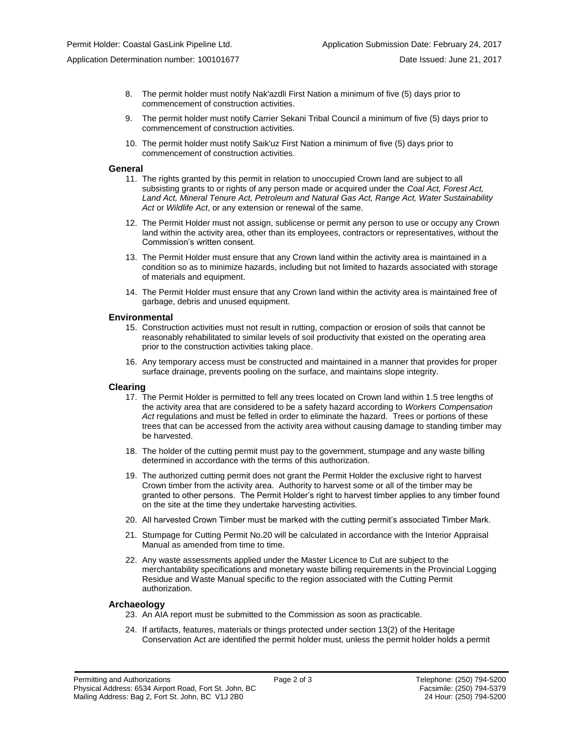- 8. The permit holder must notify Nak'azdli First Nation a minimum of five (5) days prior to commencement of construction activities.
- 9. The permit holder must notify Carrier Sekani Tribal Council a minimum of five (5) days prior to commencement of construction activities.
- 10. The permit holder must notify Saik'uz First Nation a minimum of five (5) days prior to commencement of construction activities.

#### **General**

- 11. The rights granted by this permit in relation to unoccupied Crown land are subject to all subsisting grants to or rights of any person made or acquired under the *Coal Act, Forest Act, Land Act, Mineral Tenure Act, Petroleum and Natural Gas Act, Range Act, Water Sustainability Act* or *Wildlife Act*, or any extension or renewal of the same.
- 12. The Permit Holder must not assign, sublicense or permit any person to use or occupy any Crown land within the activity area, other than its employees, contractors or representatives, without the Commission's written consent.
- 13. The Permit Holder must ensure that any Crown land within the activity area is maintained in a condition so as to minimize hazards, including but not limited to hazards associated with storage of materials and equipment.
- 14. The Permit Holder must ensure that any Crown land within the activity area is maintained free of garbage, debris and unused equipment.

#### **Environmental**

- 15. Construction activities must not result in rutting, compaction or erosion of soils that cannot be reasonably rehabilitated to similar levels of soil productivity that existed on the operating area prior to the construction activities taking place.
- 16. Any temporary access must be constructed and maintained in a manner that provides for proper surface drainage, prevents pooling on the surface, and maintains slope integrity.

#### **Clearing**

- 17. The Permit Holder is permitted to fell any trees located on Crown land within 1.5 tree lengths of the activity area that are considered to be a safety hazard according to *Workers Compensation Act* regulations and must be felled in order to eliminate the hazard. Trees or portions of these trees that can be accessed from the activity area without causing damage to standing timber may be harvested.
- 18. The holder of the cutting permit must pay to the government, stumpage and any waste billing determined in accordance with the terms of this authorization.
- 19. The authorized cutting permit does not grant the Permit Holder the exclusive right to harvest Crown timber from the activity area. Authority to harvest some or all of the timber may be granted to other persons. The Permit Holder's right to harvest timber applies to any timber found on the site at the time they undertake harvesting activities.
- 20. All harvested Crown Timber must be marked with the cutting permit's associated Timber Mark.
- 21. Stumpage for Cutting Permit No.20 will be calculated in accordance with the Interior Appraisal Manual as amended from time to time.
- 22. Any waste assessments applied under the Master Licence to Cut are subject to the merchantability specifications and monetary waste billing requirements in the Provincial Logging Residue and Waste Manual specific to the region associated with the Cutting Permit authorization.

### **Archaeology**

- 23. An AIA report must be submitted to the Commission as soon as practicable.
- 24. If artifacts, features, materials or things protected under section 13(2) of the Heritage Conservation Act are identified the permit holder must, unless the permit holder holds a permit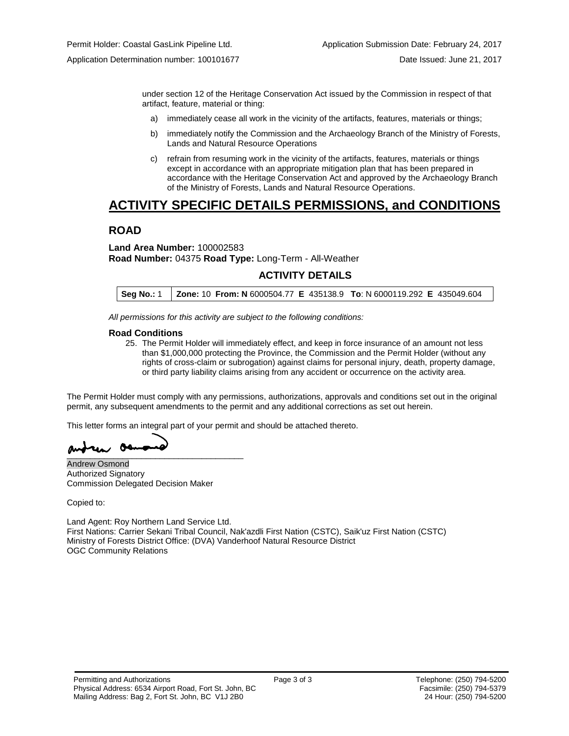under section 12 of the Heritage Conservation Act issued by the Commission in respect of that artifact, feature, material or thing:

- a) immediately cease all work in the vicinity of the artifacts, features, materials or things;
- b) immediately notify the Commission and the Archaeology Branch of the Ministry of Forests, Lands and Natural Resource Operations
- c) refrain from resuming work in the vicinity of the artifacts, features, materials or things except in accordance with an appropriate mitigation plan that has been prepared in accordance with the Heritage Conservation Act and approved by the Archaeology Branch of the Ministry of Forests, Lands and Natural Resource Operations.

# **ACTIVITY SPECIFIC DETAILS PERMISSIONS, and CONDITIONS**

# **ROAD**

**Land Area Number:** 100002583 **Road Number:** 04375 **Road Type:** Long-Term - All-Weather

## **ACTIVITY DETAILS**

**Seg No.:** 1 **Zone:** 10 **From: N** 6000504.77 **E** 435138.9 **To**: N 6000119.292 **E** 435049.604

*All permissions for this activity are subject to the following conditions:*

#### **Road Conditions**

25. The Permit Holder will immediately effect, and keep in force insurance of an amount not less than \$1,000,000 protecting the Province, the Commission and the Permit Holder (without any rights of cross-claim or subrogation) against claims for personal injury, death, property damage, or third party liability claims arising from any accident or occurrence on the activity area.

The Permit Holder must comply with any permissions, authorizations, approvals and conditions set out in the original permit, any subsequent amendments to the permit and any additional corrections as set out herein.

This letter forms an integral part of your permit and should be attached thereto.

 $\frac{1}{2}$ 

Andrew Osmond Authorized Signatory Commission Delegated Decision Maker

Copied to:

Land Agent: Roy Northern Land Service Ltd. First Nations: Carrier Sekani Tribal Council, Nak'azdli First Nation (CSTC), Saik'uz First Nation (CSTC) Ministry of Forests District Office: (DVA) Vanderhoof Natural Resource District OGC Community Relations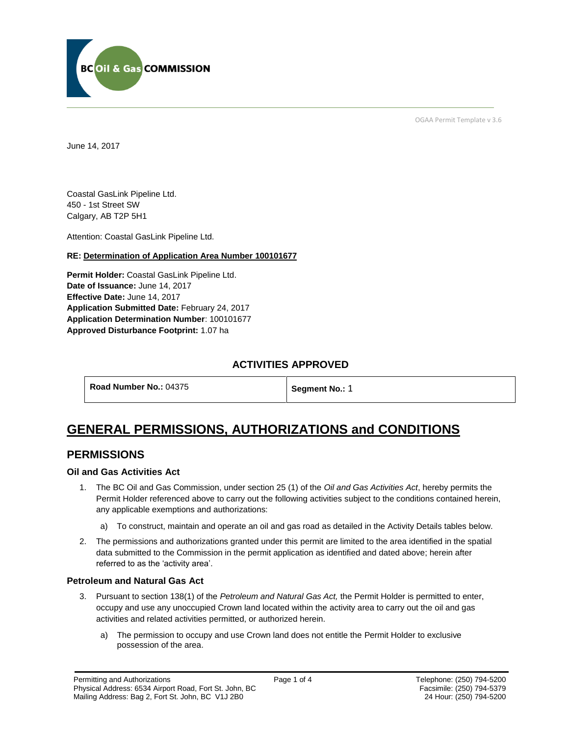

OGAA Permit Template v 3.6

June 14, 2017

Coastal GasLink Pipeline Ltd. 450 - 1st Street SW Calgary, AB T2P 5H1

[Attention:](#page-5-0) Coastal GasLink Pipeline Ltd.

### **RE: Determination of Application Area Number 100101677**

**[Permit Holder:](#page-5-0)** Coastal GasLink Pipeline Ltd. [Date of Issuance:](#page-5-0) June 14, 2017 **[Effective Date:](#page-5-1)** June 14, 2017 **[Application Submitted Date:](#page-5-0)** February 24, 2017 **[Application Determination Number](#page-5-0)**: 100101677 **Approved Disturbance Footprint:** 1.07 ha

# **ACTIVITIES APPROVED**

**[Road Number No.:](#page-5-0) 04375 <b>[Segment No.:](https://bi.bcogc.ca/Application%20Processing/Interactive%20Reports/(BIL-041)%20AMS%20Decision%20Summary.aspx) 1** 

# **GENERAL PERMISSIONS, AUTHORIZATIONS and CONDITIONS**

# **PERMISSIONS**

### **Oil and Gas Activities Act**

- <span id="page-5-0"></span>1. The BC Oil and Gas Commission, under section 25 (1) of the *Oil and Gas Activities Act*, hereby permits the Permit Holder referenced above to carry out the following activities subject to the conditions contained herein, any applicable exemptions and authorizations:
	- a) To construct, maintain and operate an oil and gas road as detailed in the Activity Details tables below.
- <span id="page-5-1"></span>2. The permissions and authorizations granted under this permit are limited to the area identified in the spatial data submitted to the Commission in the permit application as identified and dated above; herein after referred to as the 'activity area'.

### **Petroleum and Natural Gas Act**

- 3. Pursuant to section 138(1) of the *Petroleum and Natural Gas Act,* the Permit Holder is permitted to enter, occupy and use any unoccupied Crown land located within the activity area to carry out the oil and gas activities and related activities permitted, or authorized herein.
	- a) The permission to occupy and use Crown land does not entitle the Permit Holder to exclusive possession of the area.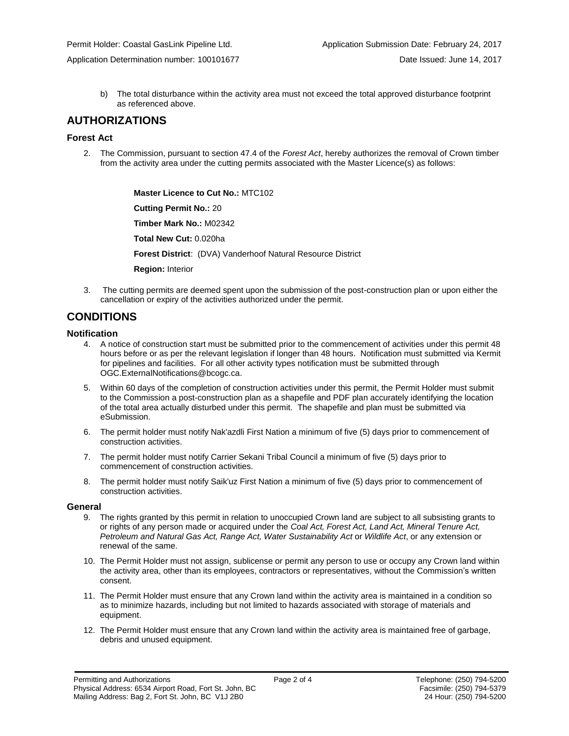b) The total disturbance within the activity area must not exceed the total approved disturbance footprint as referenced above.

# **AUTHORIZATIONS**

### **Forest Act**

2. The Commission, pursuant to section 47.4 of the *Forest Act*, hereby authorizes the removal of Crown timber from the activity area under the cutting permits associated with the Master Licence(s) as follows:

> **[Master Licence to Cut No.:](#page-5-0)** MTC102 **[Cutting Permit No.:](#page-5-0)** 20 **[Timber Mark No.:](#page-5-0)** M02342 **[Total New Cut:](#page-5-0)** 0.020ha **[Forest District](https://ams-crd.bcogc.ca/crd/)**: (DVA) Vanderhoof Natural Resource District **[Region:](#page-5-1)** Interior

3. The cutting permits are deemed spent upon the submission of the post-construction plan or upon either the cancellation or expiry of the activities authorized under the permit.

# **CONDITIONS**

### **Notification**

- 4. A notice of construction start must be submitted prior to the commencement of activities under this permit 48 hours before or as per the relevant legislation if longer than 48 hours. Notification must submitted via Kermit for pipelines and facilities. For all other activity types notification must be submitted through [OGC.ExternalNotifications@bcogc.ca.](mailto:OGC.ExternalNotifications@bcogc.ca)
- 5. Within 60 days of the completion of construction activities under this permit, the Permit Holder must submit to the Commission a post-construction plan as a shapefile and PDF plan accurately identifying the location of the total area actually disturbed under this permit. The shapefile and plan must be submitted via eSubmission.
- 6. The permit holder must notify Nak'azdli First Nation a minimum of five (5) days prior to commencement of construction activities.
- 7. The permit holder must notify Carrier Sekani Tribal Council a minimum of five (5) days prior to commencement of construction activities.
- 8. The permit holder must notify Saik'uz First Nation a minimum of five (5) days prior to commencement of construction activities.

### **General**

- 9. The rights granted by this permit in relation to unoccupied Crown land are subject to all subsisting grants to or rights of any person made or acquired under the *Coal Act, Forest Act, Land Act, Mineral Tenure Act, Petroleum and Natural Gas Act, Range Act, Water Sustainability Act* or *Wildlife Act*, or any extension or renewal of the same.
- 10. The Permit Holder must not assign, sublicense or permit any person to use or occupy any Crown land within the activity area, other than its employees, contractors or representatives, without the Commission's written consent.
- 11. The Permit Holder must ensure that any Crown land within the activity area is maintained in a condition so as to minimize hazards, including but not limited to hazards associated with storage of materials and equipment.
- 12. The Permit Holder must ensure that any Crown land within the activity area is maintained free of garbage, debris and unused equipment.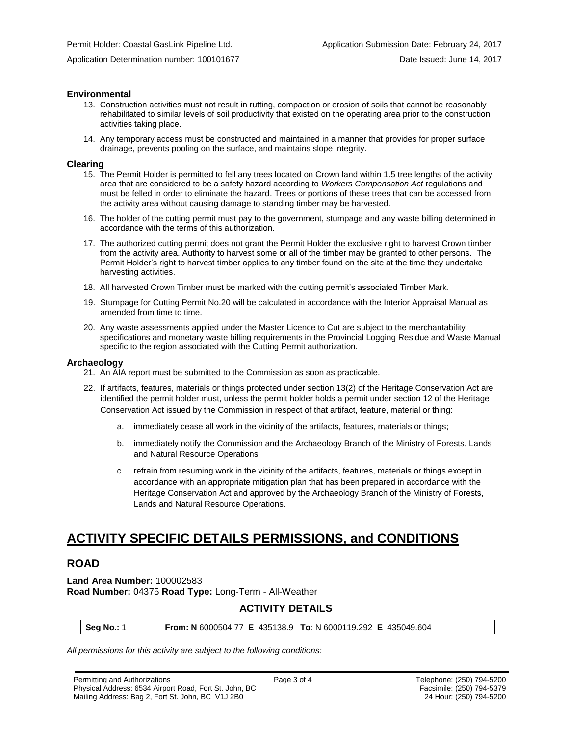Application Determination number: 100101677 Date Issued: June 14, 2017

### **Environmental**

- 13. Construction activities must not result in rutting, compaction or erosion of soils that cannot be reasonably rehabilitated to similar levels of soil productivity that existed on the operating area prior to the construction activities taking place.
- 14. Any temporary access must be constructed and maintained in a manner that provides for proper surface drainage, prevents pooling on the surface, and maintains slope integrity.

#### **Clearing**

- 15. The Permit Holder is permitted to fell any trees located on Crown land within 1.5 tree lengths of the activity area that are considered to be a safety hazard according to *Workers Compensation Act* regulations and must be felled in order to eliminate the hazard. Trees or portions of these trees that can be accessed from the activity area without causing damage to standing timber may be harvested.
- 16. The holder of the cutting permit must pay to the government, stumpage and any waste billing determined in accordance with the terms of this authorization.
- 17. The authorized cutting permit does not grant the Permit Holder the exclusive right to harvest Crown timber from the activity area. Authority to harvest some or all of the timber may be granted to other persons. The Permit Holder's right to harvest timber applies to any timber found on the site at the time they undertake harvesting activities.
- 18. All harvested Crown Timber must be marked with the cutting permit's associated Timber Mark.
- 19. Stumpage for Cutting Permit No.20 will be calculated in accordance with the Interior Appraisal Manual as amended from time to time.
- 20. Any waste assessments applied under the Master Licence to Cut are subject to the merchantability specifications and monetary waste billing requirements in the Provincial Logging Residue and Waste Manual specific to the region associated with the Cutting Permit authorization.

#### **Archaeology**

- 21. An AIA report must be submitted to the Commission as soon as practicable.
- 22. If artifacts, features, materials or things protected under section 13(2) of the Heritage Conservation Act are identified the permit holder must, unless the permit holder holds a permit under section 12 of the Heritage Conservation Act issued by the Commission in respect of that artifact, feature, material or thing:
	- a. immediately cease all work in the vicinity of the artifacts, features, materials or things;
	- b. immediately notify the Commission and the Archaeology Branch of the Ministry of Forests, Lands and Natural Resource Operations
	- c. refrain from resuming work in the vicinity of the artifacts, features, materials or things except in accordance with an appropriate mitigation plan that has been prepared in accordance with the Heritage Conservation Act and approved by the Archaeology Branch of the Ministry of Forests, Lands and Natural Resource Operations.

# **ACTIVITY SPECIFIC DETAILS PERMISSIONS, and CONDITIONS**

# **ROAD**

**Land Area Number:** 100002583 **Road Number:** 04375 **Road Type:** Long-Term - All-Weather

### **ACTIVITY DETAILS**

| <b>Seg No.: 1</b><br><b>From: N</b> 6000504.77 <b>E</b> 435138.9 <b>To:</b> N 6000119.292 <b>E</b> 435049.604 |
|---------------------------------------------------------------------------------------------------------------|
|---------------------------------------------------------------------------------------------------------------|

*All permissions for this activity are subject to the following conditions:*